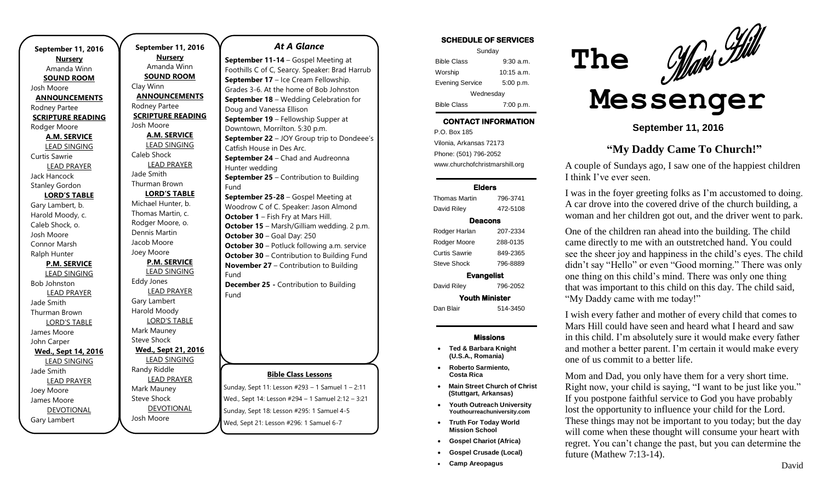**September 11, 2016 Nursery** Amanda Winn **SOUND ROOM** Josh Moore **ANNOUNCEMENTS** Rodney Partee **SCRIPTURE READING** Rodger Moore **A.M. SERVICE** LEAD SINGING Curtis Sawrie LEAD PRAYER Jack Hancock Stanley Gordon **LORD'S TABLE** Gary Lambert, b. Harold Moody, c. Caleb Shock, o. Josh Moore Connor Marsh Ralph Hunter **P.M. SERVICE** LEAD SINGING Bob Johnston LEAD PRAYER Jade Smith Thurman Brown LORD'S TABLE James Moore John Carper **Wed., Sept 14, 2016** LEAD SINGING Jade Smith LEAD PRAYER Joey Moore James Moore DEVOTIONAL

Gary Lambert

**September 11, 2016 Nursery** Amanda Winn **SOUND ROOM** Clay Winn **ANNOUNCEMENTS** Rodney Partee **SCRIPTURE READING** Josh Moore **A.M. SERVICE** LEAD SINGING Caleb Shock LEAD PRAYER Jade Smith Thurman Brown **LORD'S TABLE** Michael Hunter, b. Thomas Martin, c. Rodger Moore, o. Dennis Martin Jacob Moore Joey Moore **P.M. SERVICE** LEAD SINGING Eddy Jones LEAD PRAYER Gary Lambert Harold Moody LORD'S TABLE Mark Mauney Steve Shock **Wed., Sept 21, 2016** LEAD SINGING Randy Riddle LEAD PRAYER Mark Mauney Steve Shock DEVOTIONAL Josh Moore

### *At A Glance*

**September 11-14** – Gospel Meeting at Foothills C of C, Searcy. Speaker: Brad Harrub **September 17** – Ice Cream Fellowship. Grades 3-6. At the home of Bob Johnston **September 18** – Wedding Celebration for Doug and Vanessa Ellison **September 19** – Fellowship Supper at Downtown, Morrilton. 5:30 p.m. **September 22** – JOY Group trip to Dondeee's Catfish House in Des Arc. **September 24** – Chad and Audreonna Hunter wedding **September 25 – Contribution to Building** Fund **September 25-28** – Gospel Meeting at Woodrow C of C. Speaker: Jason Almond **October 1** – Fish Fry at Mars Hill. **October 15** – Marsh/Gilliam wedding. 2 p.m. **October 30** – Goal Day: 250 **October 30** – Potluck following a.m. service **October 30 – Contribution to Building Fund November 27** – Contribution to Building Fund **December 25 -** Contribution to Building Fund

### **Bible Class Lessons**

Sunday, Sept 11: Lesson #293 – 1 Samuel 1 – 2:11 Wed., Sept 14: Lesson #294 – 1 Samuel 2:12 – 3:21 Sunday, Sept 18: Lesson #295: 1 Samuel 4-5 Wed, Sept 21: Lesson #296: 1 Samuel 6-7

| Sunday                 |              |
|------------------------|--------------|
| <b>Bible Class</b>     | 9:30a.m.     |
| Worship                | $10:15$ a.m. |
| <b>Evening Service</b> | 5:00 p.m.    |
| Wednesday              |              |
| <b>Bible Class</b>     | 7:00 p.m.    |

## **CONTACT INFORMATION**

. .o. Bex Tee<br>Vilonia, Arkansas 72173 P.O. Box 185 Phone: (501) 796-2052 www.churchofchristmarshill.org

#### **Elders**

Thomas Martin 796-3741 David Riley 472-5108 **Deacons**  Rodger Harlan 207-2334 Rodger Moore 288-0135 Curtis Sawrie 849-2365 Steve Shock 796-8889 **Evangelist**  David Riley 796-2052 **Youth Minister** 

Dan Blair 514-3450

### **Missions**

- **Ted & Barbara Knight (U.S.A., Romania)**
- **Roberto Sarmiento, Costa Rica**
- **Main Street Church of Christ (Stuttgart, Arkansas)**
- **Youth Outreach University Youthourreachuniversity.com**
- **Truth For Today World Mission School**
- **Gospel Chariot (Africa)**
- **Gospel Crusade (Local)**
- **Camp Areopagus**



# **Messenger**

 **The**

**September 11, 2016**

# **"My Daddy Came To Church!"**

A couple of Sundays ago, I saw one of the happiest children I think I've ever seen.

I was in the foyer greeting folks as I'm accustomed to doing. A car drove into the covered drive of the church building, a woman and her children got out, and the driver went to park.

One of the children ran ahead into the building. The child came directly to me with an outstretched hand. You could see the sheer joy and happiness in the child's eyes. The child didn't say "Hello" or even "Good morning." There was only one thing on this child's mind. There was only one thing that was important to this child on this day. The child said, "My Daddy came with me today!"

I wish every father and mother of every child that comes to Mars Hill could have seen and heard what I heard and saw in this child. I'm absolutely sure it would make every father and mother a better parent. I'm certain it would make every one of us commit to a better life.

Mom and Dad, you only have them for a very short time. Right now, your child is saying, "I want to be just like you." If you postpone faithful service to God you have probably lost the opportunity to influence your child for the Lord. These things may not be important to you today; but the day will come when these thought will consume your heart with regret. You can't change the past, but you can determine the future (Mathew 7:13-14).